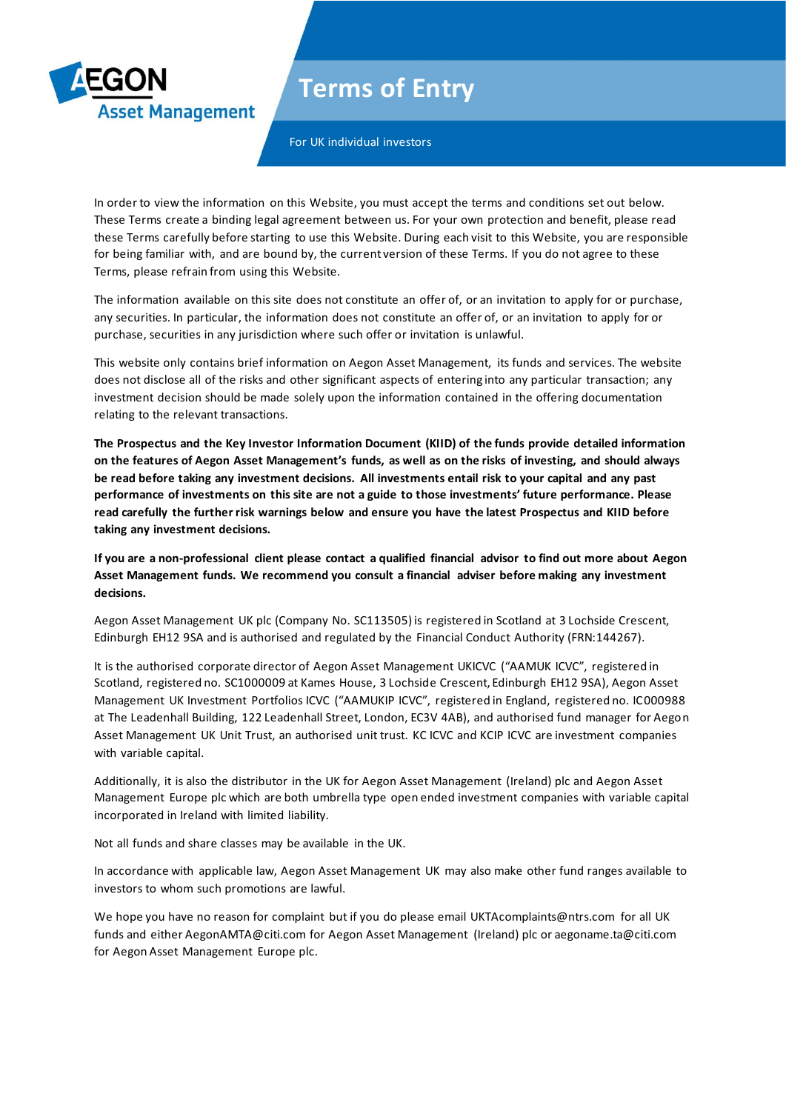

For UK individual investors

**Asset Management** 

In order to view the information on this Website, you must accept the terms and conditions set out below. These Terms create a binding legal agreement between us. For your own protection and benefit, please read these Terms carefully before starting to use this Website. During each visit to this Website, you are responsible for being familiar with, and are bound by, the current version of these Terms. If you do not agree to these Terms, please refrain from using this Website.

The information available on this site does not constitute an offer of, or an invitation to apply for or purchase, any securities. In particular, the information does not constitute an offer of, or an invitation to apply for or purchase, securities in any jurisdiction where such offer or invitation is unlawful.

This website only contains brief information on Aegon Asset Management, its funds and services. The website does not disclose all of the risks and other significant aspects of entering into any particular transaction; any investment decision should be made solely upon the information contained in the offering documentation relating to the relevant transactions.

**The Prospectus and the Key Investor Information Document (KIID) of the funds provide detailed information on the features of Aegon Asset Management's funds, as well as on the risks of investing, and should always be read before taking any investment decisions. All investments entail risk to your capital and any past performance of investments on this site are not a guide to those investments' future performance. Please read carefully the further risk warnings below and ensure you have the latest Prospectus and KIID before taking any investment decisions.**

**If you are a non-professional client please contact a qualified financial advisor to find out more about Aegon Asset Management funds. We recommend you consult a financial adviser before making any investment decisions.**

Aegon Asset Management UK plc (Company No. SC113505) is registered in Scotland at 3 Lochside Crescent, Edinburgh EH12 9SA and is authorised and regulated by the Financial Conduct Authority (FRN:144267).

It is the authorised corporate director of Aegon Asset Management UKICVC ("AAMUK ICVC", registered in Scotland, registered no. SC1000009 at Kames House, 3 Lochside Crescent, Edinburgh EH12 9SA), Aegon Asset Management UK Investment Portfolios ICVC ("AAMUKIP ICVC", registered in England, registered no. IC000988 at The Leadenhall Building, 122 Leadenhall Street, London, EC3V 4AB), and authorised fund manager for Aegon Asset Management UK Unit Trust, an authorised unit trust. KC ICVC and KCIP ICVC are investment companies with variable capital.

Additionally, it is also the distributor in the UK for Aegon Asset Management (Ireland) plc and Aegon Asset Management Europe plc which are both umbrella type open ended investment companies with variable capital incorporated in Ireland with limited liability.

Not all funds and share classes may be available in the UK.

In accordance with applicable law, Aegon Asset Management UK may also make other fund ranges available to investors to whom such promotions are lawful.

We hope you have no reason for complaint but if you do please email UKTAcomplaints@ntrs.com for all UK funds and either AegonAMTA@citi.com for Aegon Asset Management (Ireland) plc or aegoname.ta@citi.com for Aegon Asset Management Europe plc.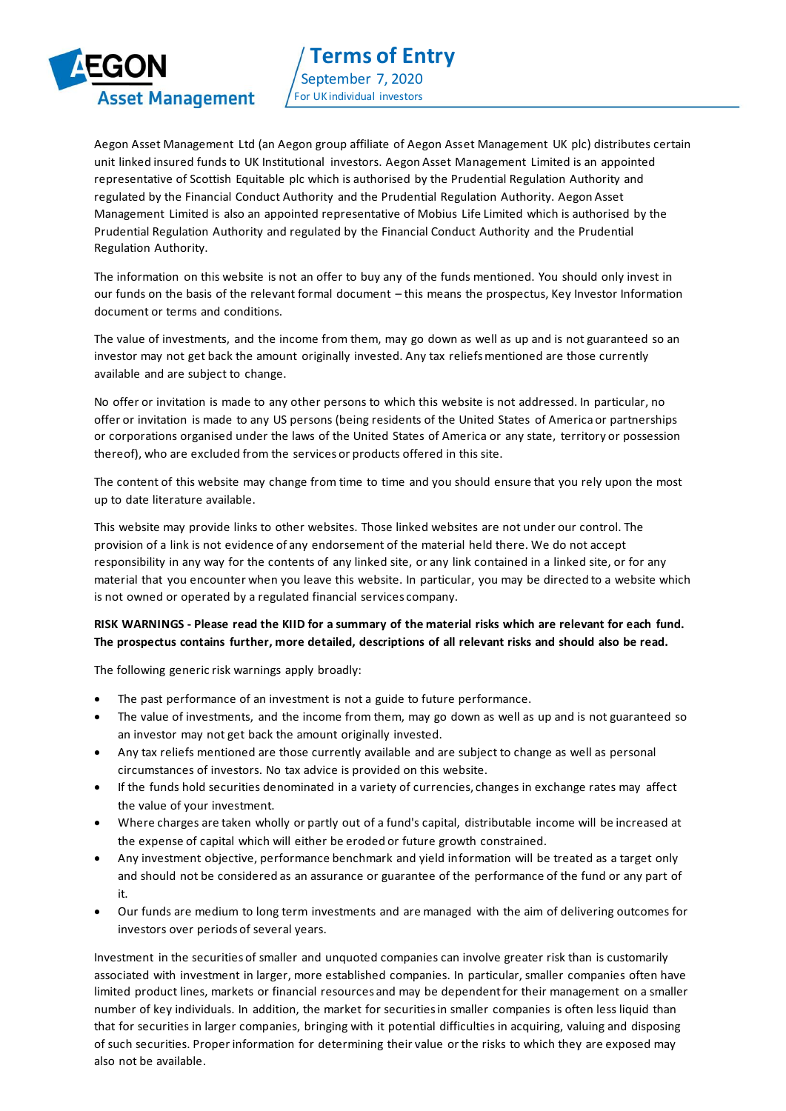

Aegon Asset Management Ltd (an Aegon group affiliate of Aegon Asset Management UK plc) distributes certain unit linked insured funds to UK Institutional investors. Aegon Asset Management Limited is an appointed representative of Scottish Equitable plc which is authorised by the Prudential Regulation Authority and regulated by the Financial Conduct Authority and the Prudential Regulation Authority. Aegon Asset Management Limited is also an appointed representative of Mobius Life Limited which is authorised by the Prudential Regulation Authority and regulated by the Financial Conduct Authority and the Prudential Regulation Authority.

The information on this website is not an offer to buy any of the funds mentioned. You should only invest in our funds on the basis of the relevant formal document – this means the prospectus, Key Investor Information document or terms and conditions.

The value of investments, and the income from them, may go down as well as up and is not guaranteed so an investor may not get back the amount originally invested. Any tax reliefs mentioned are those currently available and are subject to change.

No offer or invitation is made to any other persons to which this website is not addressed. In particular, no offer or invitation is made to any US persons (being residents of the United States of America or partnerships or corporations organised under the laws of the United States of America or any state, territory or possession thereof), who are excluded from the services or products offered in this site.

The content of this website may change from time to time and you should ensure that you rely upon the most up to date literature available.

This website may provide links to other websites. Those linked websites are not under our control. The provision of a link is not evidence of any endorsement of the material held there. We do not accept responsibility in any way for the contents of any linked site, or any link contained in a linked site, or for any material that you encounter when you leave this website. In particular, you may be directed to a website which is not owned or operated by a regulated financial services company.

## **RISK WARNINGS - Please read the KIID for a summary of the material risks which are relevant for each fund. The prospectus contains further, more detailed, descriptions of all relevant risks and should also be read.**

The following generic risk warnings apply broadly:

- The past performance of an investment is not a guide to future performance.
- The value of investments, and the income from them, may go down as well as up and is not guaranteed so an investor may not get back the amount originally invested.
- Any tax reliefs mentioned are those currently available and are subject to change as well as personal circumstances of investors. No tax advice is provided on this website.
- If the funds hold securities denominated in a variety of currencies, changes in exchange rates may affect the value of your investment.
- Where charges are taken wholly or partly out of a fund's capital, distributable income will be increased at the expense of capital which will either be eroded or future growth constrained.
- Any investment objective, performance benchmark and yield information will be treated as a target only and should not be considered as an assurance or guarantee of the performance of the fund or any part of it.
- Our funds are medium to long term investments and are managed with the aim of delivering outcomes for investors over periods of several years.

Investment in the securities of smaller and unquoted companies can involve greater risk than is customarily associated with investment in larger, more established companies. In particular, smaller companies often have limited product lines, markets or financial resources and may be dependent for their management on a smaller number of key individuals. In addition, the market for securities in smaller companies is often less liquid than that for securities in larger companies, bringing with it potential difficulties in acquiring, valuing and disposing of such securities. Proper information for determining their value or the risks to which they are exposed may also not be available.